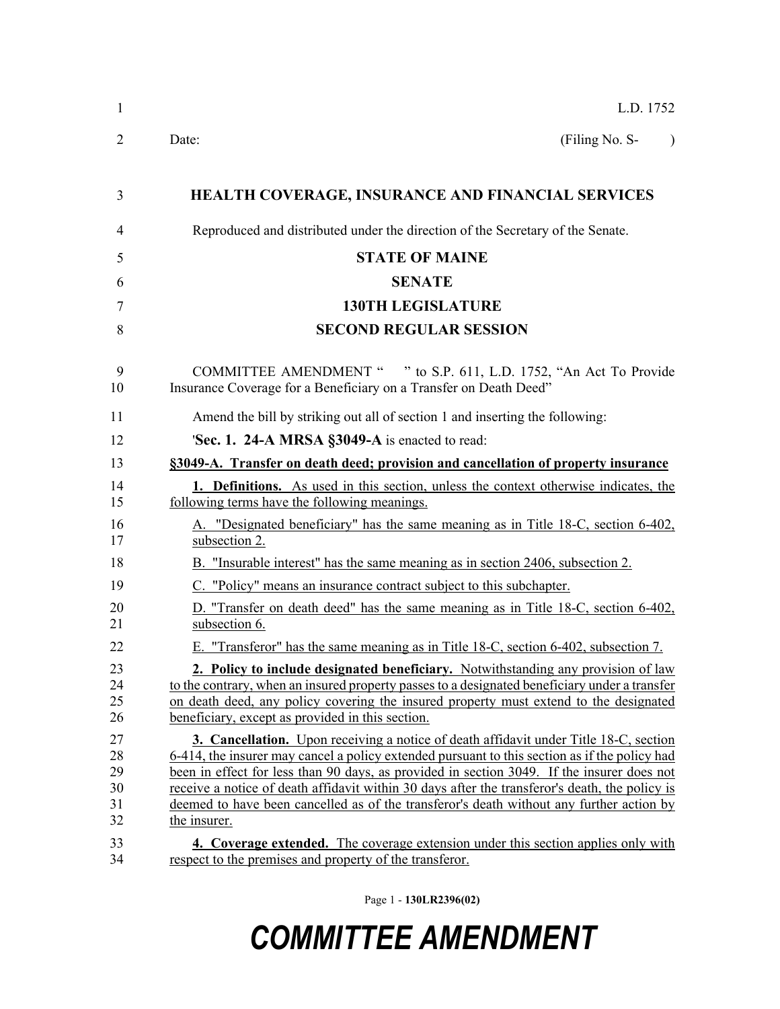| $\mathbf{1}$                           | L.D. 1752                                                                                                                                                                                                                                                                                                                                                                                                                                                                                                                                                                                      |
|----------------------------------------|------------------------------------------------------------------------------------------------------------------------------------------------------------------------------------------------------------------------------------------------------------------------------------------------------------------------------------------------------------------------------------------------------------------------------------------------------------------------------------------------------------------------------------------------------------------------------------------------|
| 2                                      | (Filing No. S-<br>Date:                                                                                                                                                                                                                                                                                                                                                                                                                                                                                                                                                                        |
| 3                                      | HEALTH COVERAGE, INSURANCE AND FINANCIAL SERVICES                                                                                                                                                                                                                                                                                                                                                                                                                                                                                                                                              |
| 4                                      | Reproduced and distributed under the direction of the Secretary of the Senate.                                                                                                                                                                                                                                                                                                                                                                                                                                                                                                                 |
| 5                                      | <b>STATE OF MAINE</b>                                                                                                                                                                                                                                                                                                                                                                                                                                                                                                                                                                          |
| 6                                      | <b>SENATE</b>                                                                                                                                                                                                                                                                                                                                                                                                                                                                                                                                                                                  |
| 7                                      | <b>130TH LEGISLATURE</b>                                                                                                                                                                                                                                                                                                                                                                                                                                                                                                                                                                       |
| 8                                      | <b>SECOND REGULAR SESSION</b>                                                                                                                                                                                                                                                                                                                                                                                                                                                                                                                                                                  |
| 9<br>10                                | COMMITTEE AMENDMENT " " to S.P. 611, L.D. 1752, "An Act To Provide<br>Insurance Coverage for a Beneficiary on a Transfer on Death Deed"                                                                                                                                                                                                                                                                                                                                                                                                                                                        |
| 11                                     | Amend the bill by striking out all of section 1 and inserting the following:                                                                                                                                                                                                                                                                                                                                                                                                                                                                                                                   |
| 12                                     | 'Sec. 1. 24-A MRSA §3049-A is enacted to read:                                                                                                                                                                                                                                                                                                                                                                                                                                                                                                                                                 |
| 13                                     | §3049-A. Transfer on death deed; provision and cancellation of property insurance                                                                                                                                                                                                                                                                                                                                                                                                                                                                                                              |
| 14<br>15                               | <b>1. Definitions.</b> As used in this section, unless the context otherwise indicates, the<br>following terms have the following meanings.                                                                                                                                                                                                                                                                                                                                                                                                                                                    |
| 16<br>17                               | A. "Designated beneficiary" has the same meaning as in Title 18-C, section 6-402,<br>subsection 2.                                                                                                                                                                                                                                                                                                                                                                                                                                                                                             |
| 18                                     | B. "Insurable interest" has the same meaning as in section 2406, subsection 2.                                                                                                                                                                                                                                                                                                                                                                                                                                                                                                                 |
| 19                                     | C. "Policy" means an insurance contract subject to this subchapter.                                                                                                                                                                                                                                                                                                                                                                                                                                                                                                                            |
| 20<br>21                               | D. "Transfer on death deed" has the same meaning as in Title 18-C, section 6-402,<br>subsection 6.                                                                                                                                                                                                                                                                                                                                                                                                                                                                                             |
| 22                                     | E. "Transferor" has the same meaning as in Title 18-C, section 6-402, subsection 7.                                                                                                                                                                                                                                                                                                                                                                                                                                                                                                            |
| 23<br>24<br>25<br>26                   | 2. Policy to include designated beneficiary. Notwithstanding any provision of law<br>to the contrary, when an insured property passes to a designated beneficiary under a transfer<br>on death deed, any policy covering the insured property must extend to the designated<br>beneficiary, except as provided in this section.                                                                                                                                                                                                                                                                |
| 27<br>28<br>29<br>30<br>31<br>32<br>33 | <b>3. Cancellation.</b> Upon receiving a notice of death affidavit under Title 18-C, section<br>6-414, the insurer may cancel a policy extended pursuant to this section as if the policy had<br>been in effect for less than 90 days, as provided in section 3049. If the insurer does not<br>receive a notice of death affidavit within 30 days after the transferor's death, the policy is<br>deemed to have been cancelled as of the transferor's death without any further action by<br>the insurer.<br>4. Coverage extended. The coverage extension under this section applies only with |
| 34                                     | respect to the premises and property of the transferor.                                                                                                                                                                                                                                                                                                                                                                                                                                                                                                                                        |

Page 1 - **130LR2396(02)**

## *COMMITTEE AMENDMENT*